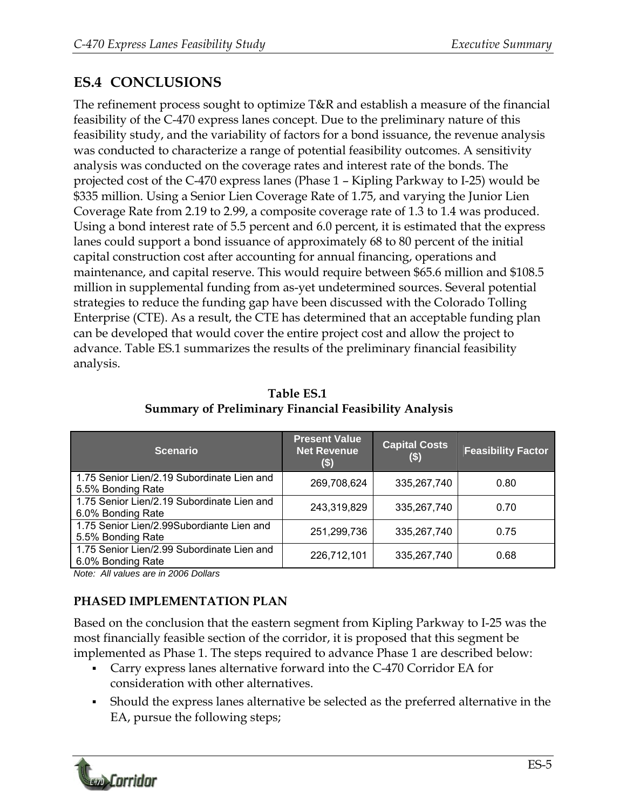## **ES.4 CONCLUSIONS**

The refinement process sought to optimize T&R and establish a measure of the financial feasibility of the C-470 express lanes concept. Due to the preliminary nature of this feasibility study, and the variability of factors for a bond issuance, the revenue analysis was conducted to characterize a range of potential feasibility outcomes. A sensitivity analysis was conducted on the coverage rates and interest rate of the bonds. The projected cost of the C-470 express lanes (Phase 1 – Kipling Parkway to I-25) would be \$335 million. Using a Senior Lien Coverage Rate of 1.75, and varying the Junior Lien Coverage Rate from 2.19 to 2.99, a composite coverage rate of 1.3 to 1.4 was produced. Using a bond interest rate of 5.5 percent and 6.0 percent, it is estimated that the express lanes could support a bond issuance of approximately 68 to 80 percent of the initial capital construction cost after accounting for annual financing, operations and maintenance, and capital reserve. This would require between \$65.6 million and \$108.5 million in supplemental funding from as-yet undetermined sources. Several potential strategies to reduce the funding gap have been discussed with the Colorado Tolling Enterprise (CTE). As a result, the CTE has determined that an acceptable funding plan can be developed that would cover the entire project cost and allow the project to advance. Table ES.1 summarizes the results of the preliminary financial feasibility analysis.

| <b>Scenario</b>                                                 | <b>Present Value</b><br><b>Net Revenue</b><br>(\$) | <b>Capital Costs</b><br>$($ \$) | <b>Feasibility Factor</b> |
|-----------------------------------------------------------------|----------------------------------------------------|---------------------------------|---------------------------|
| 1.75 Senior Lien/2.19 Subordinate Lien and<br>5.5% Bonding Rate | 269,708,624                                        | 335,267,740                     | 0.80                      |
| 1.75 Senior Lien/2.19 Subordinate Lien and<br>6.0% Bonding Rate | 243,319,829                                        | 335,267,740                     | 0.70                      |
| 1.75 Senior Lien/2.99Subordiante Lien and<br>5.5% Bonding Rate  | 251,299,736                                        | 335,267,740                     | 0.75                      |
| 1.75 Senior Lien/2.99 Subordinate Lien and<br>6.0% Bonding Rate | 226,712,101                                        | 335,267,740                     | 0.68                      |

**Table ES.1 Summary of Preliminary Financial Feasibility Analysis** 

*Note: All values are in 2006 Dollars* 

## **PHASED IMPLEMENTATION PLAN**

Based on the conclusion that the eastern segment from Kipling Parkway to I-25 was the most financially feasible section of the corridor, it is proposed that this segment be implemented as Phase 1. The steps required to advance Phase 1 are described below:

- Carry express lanes alternative forward into the C-470 Corridor EA for consideration with other alternatives.
- Should the express lanes alternative be selected as the preferred alternative in the EA, pursue the following steps;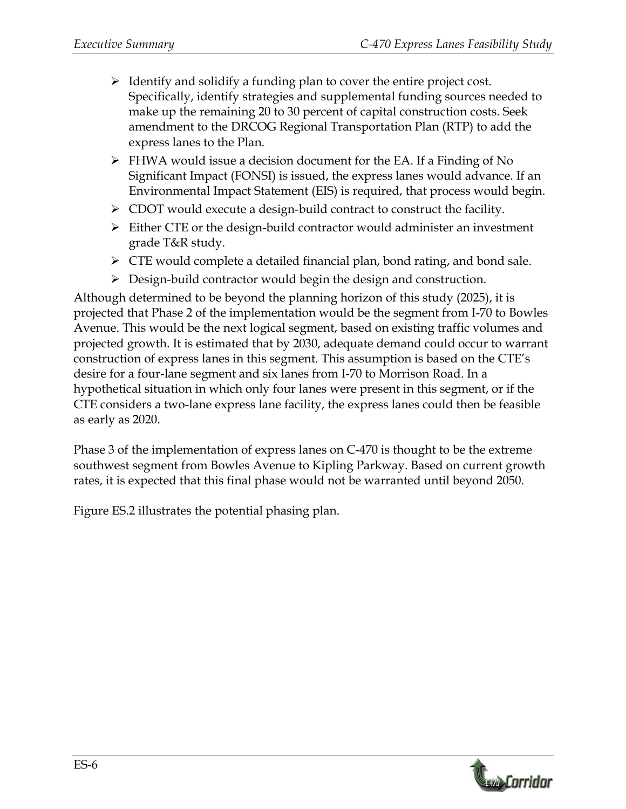- $\triangleright$  Identify and solidify a funding plan to cover the entire project cost. Specifically, identify strategies and supplemental funding sources needed to make up the remaining 20 to 30 percent of capital construction costs. Seek amendment to the DRCOG Regional Transportation Plan (RTP) to add the express lanes to the Plan.
- $\triangleright$  FHWA would issue a decision document for the EA. If a Finding of No Significant Impact (FONSI) is issued, the express lanes would advance. If an Environmental Impact Statement (EIS) is required, that process would begin.
- $\triangleright$  CDOT would execute a design-build contract to construct the facility.
- $\triangleright$  Either CTE or the design-build contractor would administer an investment grade T&R study.
- $\triangleright$  CTE would complete a detailed financial plan, bond rating, and bond sale.
- $\triangleright$  Design-build contractor would begin the design and construction.

Although determined to be beyond the planning horizon of this study (2025), it is projected that Phase 2 of the implementation would be the segment from I-70 to Bowles Avenue. This would be the next logical segment, based on existing traffic volumes and projected growth. It is estimated that by 2030, adequate demand could occur to warrant construction of express lanes in this segment. This assumption is based on the CTE's desire for a four-lane segment and six lanes from I-70 to Morrison Road. In a hypothetical situation in which only four lanes were present in this segment, or if the CTE considers a two-lane express lane facility, the express lanes could then be feasible as early as 2020.

Phase 3 of the implementation of express lanes on C-470 is thought to be the extreme southwest segment from Bowles Avenue to Kipling Parkway. Based on current growth rates, it is expected that this final phase would not be warranted until beyond 2050.

Figure ES.2 illustrates the potential phasing plan.

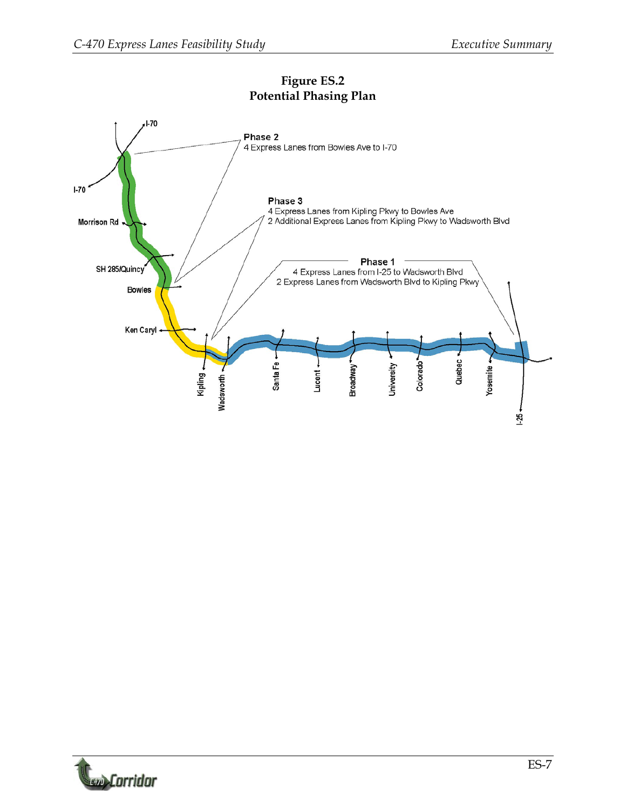

## **Figure ES.2 Potential Phasing Plan**